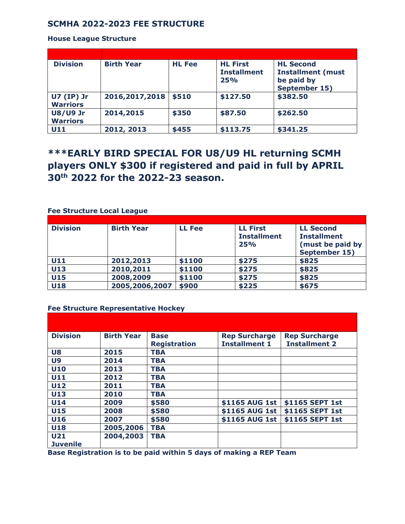## **SCMHA 2022-2023 FEE STRUCTURE**

#### **House League Structure**

| <b>Division</b>                      | <b>Birth Year</b> | <b>HL Fee</b> | <b>HL First</b><br><b>Installment</b><br>25% | <b>HL Second</b><br><b>Installment (must</b><br>be paid by<br>September 15) |
|--------------------------------------|-------------------|---------------|----------------------------------------------|-----------------------------------------------------------------------------|
| <b>U7 (IP) Jr</b><br><b>Warriors</b> | 2016, 2017, 2018  | \$510         | \$127.50                                     | \$382.50                                                                    |
| <b>U8/U9 Jr</b><br><b>Warriors</b>   | 2014,2015         | \$350         | \$87.50                                      | \$262.50                                                                    |
| U11                                  | 2012, 2013        | \$455         | \$113.75                                     | \$341.25                                                                    |

# **\*\*\*EARLY BIRD SPECIAL FOR U8/U9 HL returning SCMH players ONLY \$300 if registered and paid in full by APRIL 30th 2022 for the 2022-23 season.**

### **Fee Structure Local League**

| <b>Division</b> | <b>Birth Year</b> | <b>LL Fee</b> | <b>LL First</b>    | <b>LL Second</b>   |
|-----------------|-------------------|---------------|--------------------|--------------------|
|                 |                   |               | <b>Installment</b> | <b>Installment</b> |
|                 |                   |               | 25%                | (must be paid by   |
|                 |                   |               |                    | September 15)      |
| U11             | 2012,2013         | \$1100        | \$275              | \$825              |
| U13             | 2010,2011         | \$1100        | \$275              | \$825              |
| <b>U15</b>      | 2008,2009         | \$1100        | \$275              | \$825              |
| <b>U18</b>      | 2005, 2006, 2007  | \$900         | \$225              | \$675              |

#### **Fee Structure Representative Hockey**

| <b>Division</b> | <b>Birth Year</b> | <b>Base</b><br><b>Registration</b> | <b>Rep Surcharge</b><br><b>Installment 1</b> | <b>Rep Surcharge</b><br><b>Installment 2</b> |
|-----------------|-------------------|------------------------------------|----------------------------------------------|----------------------------------------------|
| U8              | 2015              | <b>TBA</b>                         |                                              |                                              |
| U <sub>9</sub>  | 2014              | <b>TBA</b>                         |                                              |                                              |
| <b>U10</b>      | 2013              | <b>TBA</b>                         |                                              |                                              |
| U11             | 2012              | <b>TBA</b>                         |                                              |                                              |
| <b>U12</b>      | 2011              | <b>TBA</b>                         |                                              |                                              |
| U13             | 2010              | <b>TBA</b>                         |                                              |                                              |
| <b>U14</b>      | 2009              | \$580                              | \$1165 AUG 1st                               | \$1165 SEPT 1st                              |
| U15             | 2008              | \$580                              | \$1165 AUG 1st                               | \$1165 SEPT 1st                              |
| U16             | 2007              | \$580                              | \$1165 AUG 1st                               | \$1165 SEPT 1st                              |
| <b>U18</b>      | 2005,2006         | <b>TBA</b>                         |                                              |                                              |
| U <sub>21</sub> | 2004,2003         | <b>TBA</b>                         |                                              |                                              |
| <b>Juvenile</b> |                   |                                    |                                              |                                              |

**Base Registration is to be paid within 5 days of making a REP Team**